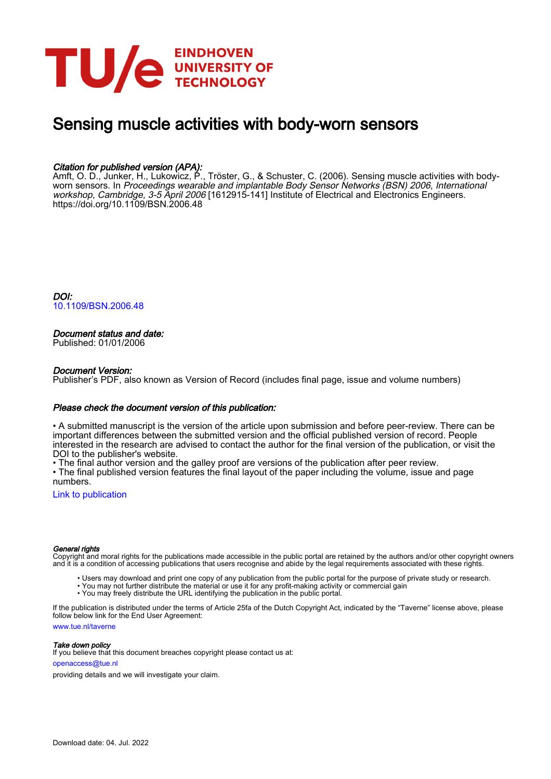

# Sensing muscle activities with body-worn sensors

# Citation for published version (APA):

Amft, O. D., Junker, H., Lukowicz, P., Tröster, G., & Schuster, C. (2006). Sensing muscle activities with bodyworn sensors. In Proceedings wearable and implantable Body Sensor Networks (BSN) 2006, International workshop, Cambridge, 3-5 April 2006 [1612915-141] Institute of Electrical and Electronics Engineers. <https://doi.org/10.1109/BSN.2006.48>

DOI: [10.1109/BSN.2006.48](https://doi.org/10.1109/BSN.2006.48)

# Document status and date:

Published: 01/01/2006

#### Document Version:

Publisher's PDF, also known as Version of Record (includes final page, issue and volume numbers)

#### Please check the document version of this publication:

• A submitted manuscript is the version of the article upon submission and before peer-review. There can be important differences between the submitted version and the official published version of record. People interested in the research are advised to contact the author for the final version of the publication, or visit the DOI to the publisher's website.

• The final author version and the galley proof are versions of the publication after peer review.

• The final published version features the final layout of the paper including the volume, issue and page numbers.

[Link to publication](https://research.tue.nl/en/publications/9f4baa7d-e17e-40b8-8ac1-b1b7ad2eb3e0)

#### General rights

Copyright and moral rights for the publications made accessible in the public portal are retained by the authors and/or other copyright owners and it is a condition of accessing publications that users recognise and abide by the legal requirements associated with these rights.

- Users may download and print one copy of any publication from the public portal for the purpose of private study or research.
- You may not further distribute the material or use it for any profit-making activity or commercial gain
- You may freely distribute the URL identifying the publication in the public portal.

If the publication is distributed under the terms of Article 25fa of the Dutch Copyright Act, indicated by the "Taverne" license above, please follow below link for the End User Agreement:

www.tue.nl/taverne

**Take down policy**<br>If you believe that this document breaches copyright please contact us at:

openaccess@tue.nl

providing details and we will investigate your claim.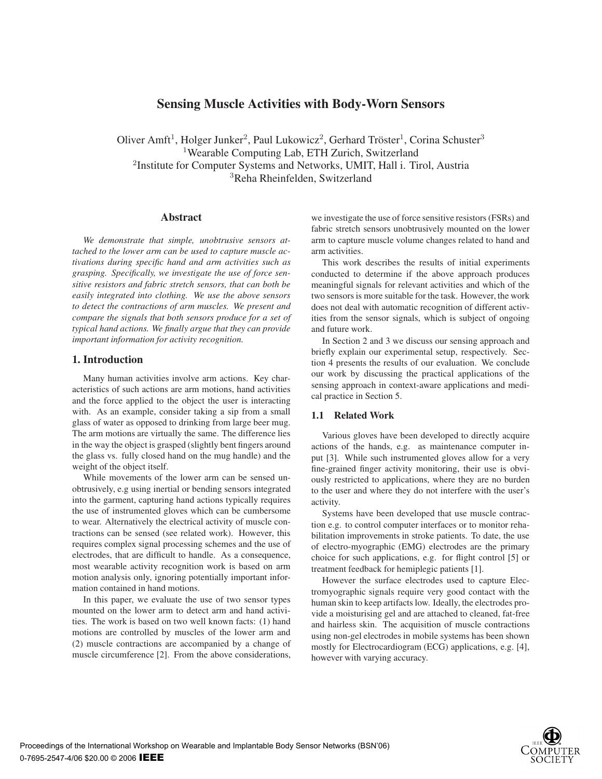# **Sensing Muscle Activities with Body-Worn Sensors**

Oliver Amft<sup>1</sup>, Holger Junker<sup>2</sup>, Paul Lukowicz<sup>2</sup>, Gerhard Tröster<sup>1</sup>, Corina Schuster<sup>3</sup> Wearable Computing Lab, ETH Zurich, Switzerland Institute for Computer Systems and Networks, UMIT, Hall i. Tirol, Austria Reha Rheinfelden, Switzerland

#### **Abstract**

*We demonstrate that simple, unobtrusive sensors attached to the lower arm can be used to capture muscle activations during specific hand and arm activities such as grasping. Specifically, we investigate the use of force sensitive resistors and fabric stretch sensors, that can both be easily integrated into clothing. We use the above sensors to detect the contractions of arm muscles. We present and compare the signals that both sensors produce for a set of typical hand actions. We finally argue that they can provide important information for activity recognition.*

# **1. Introduction**

Many human activities involve arm actions. Key characteristics of such actions are arm motions, hand activities and the force applied to the object the user is interacting with. As an example, consider taking a sip from a small glass of water as opposed to drinking from large beer mug. The arm motions are virtually the same. The difference lies in the way the object is grasped (slightly bent fingers around the glass vs. fully closed hand on the mug handle) and the weight of the object itself.

While movements of the lower arm can be sensed unobtrusively, e.g using inertial or bending sensors integrated into the garment, capturing hand actions typically requires the use of instrumented gloves which can be cumbersome to wear. Alternatively the electrical activity of muscle contractions can be sensed (see related work). However, this requires complex signal processing schemes and the use of electrodes, that are difficult to handle. As a consequence, most wearable activity recognition work is based on arm motion analysis only, ignoring potentially important information contained in hand motions.

In this paper, we evaluate the use of two sensor types mounted on the lower arm to detect arm and hand activities. The work is based on two well known facts: (1) hand motions are controlled by muscles of the lower arm and (2) muscle contractions are accompanied by a change of muscle circumference [2]. From the above considerations, we investigate the use of force sensitive resistors (FSRs) and fabric stretch sensors unobtrusively mounted on the lower arm to capture muscle volume changes related to hand and arm activities.

This work describes the results of initial experiments conducted to determine if the above approach produces meaningful signals for relevant activities and which of the two sensors is more suitable for the task. However, the work does not deal with automatic recognition of different activities from the sensor signals, which is subject of ongoing and future work.

In Section 2 and 3 we discuss our sensing approach and briefly explain our experimental setup, respectively. Section 4 presents the results of our evaluation. We conclude our work by discussing the practical applications of the sensing approach in context-aware applications and medical practice in Section 5.

# **1.1 Related Work**

Various gloves have been developed to directly acquire actions of the hands, e.g. as maintenance computer input [3]. While such instrumented gloves allow for a very fine-grained finger activity monitoring, their use is obviously restricted to applications, where they are no burden to the user and where they do not interfere with the user's activity.

Systems have been developed that use muscle contraction e.g. to control computer interfaces or to monitor rehabilitation improvements in stroke patients. To date, the use of electro-myographic (EMG) electrodes are the primary choice for such applications, e.g. for flight control [5] or treatment feedback for hemiplegic patients [1].

However the surface electrodes used to capture Electromyographic signals require very good contact with the human skin to keep artifacts low. Ideally, the electrodes provide a moisturising gel and are attached to cleaned, fat-free and hairless skin. The acquisition of muscle contractions using non-gel electrodes in mobile systems has been shown mostly for Electrocardiogram (ECG) applications, e.g. [4], however with varying accuracy.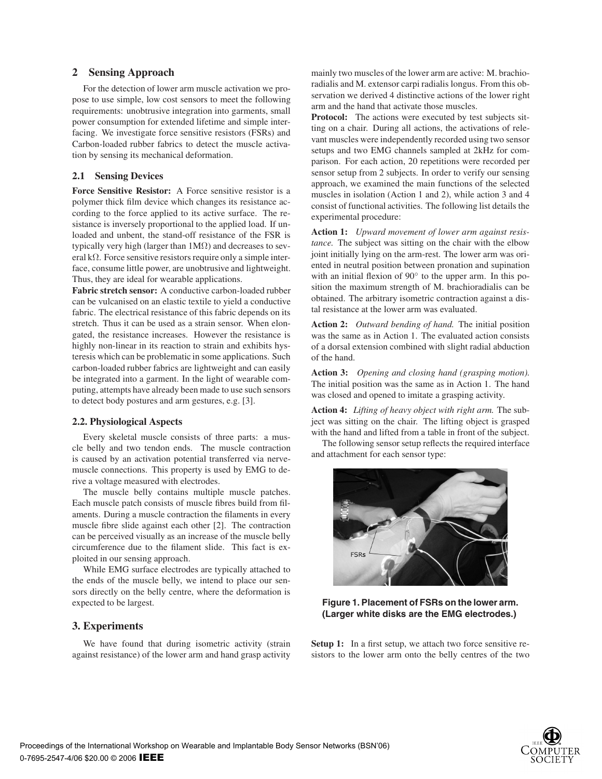# **2 Sensing Approach**

For the detection of lower arm muscle activation we propose to use simple, low cost sensors to meet the following requirements: unobtrusive integration into garments, small power consumption for extended lifetime and simple interfacing. We investigate force sensitive resistors (FSRs) and Carbon-loaded rubber fabrics to detect the muscle activation by sensing its mechanical deformation.

# **2.1 Sensing Devices**

**Force Sensitive Resistor:** A Force sensitive resistor is a polymer thick film device which changes its resistance according to the force applied to its active surface. The resistance is inversely proportional to the applied load. If unloaded and unbent, the stand-off resistance of the FSR is typically very high (larger than  $1\text{M}\Omega$ ) and decreases to several kΩ. Force sensitive resistors require only a simple interface, consume little power, are unobtrusive and lightweight. Thus, they are ideal for wearable applications.

**Fabric stretch sensor:** A conductive carbon-loaded rubber can be vulcanised on an elastic textile to yield a conductive fabric. The electrical resistance of this fabric depends on its stretch. Thus it can be used as a strain sensor. When elongated, the resistance increases. However the resistance is highly non-linear in its reaction to strain and exhibits hysteresis which can be problematic in some applications. Such carbon-loaded rubber fabrics are lightweight and can easily be integrated into a garment. In the light of wearable computing, attempts have already been made to use such sensors to detect body postures and arm gestures, e.g. [3].

### **2.2. Physiological Aspects**

Every skeletal muscle consists of three parts: a muscle belly and two tendon ends. The muscle contraction is caused by an activation potential transferred via nervemuscle connections. This property is used by EMG to derive a voltage measured with electrodes.

The muscle belly contains multiple muscle patches. Each muscle patch consists of muscle fibres build from filaments. During a muscle contraction the filaments in every muscle fibre slide against each other [2]. The contraction can be perceived visually as an increase of the muscle belly circumference due to the filament slide. This fact is exploited in our sensing approach.

While EMG surface electrodes are typically attached to the ends of the muscle belly, we intend to place our sensors directly on the belly centre, where the deformation is expected to be largest.

# **3. Experiments**

We have found that during isometric activity (strain against resistance) of the lower arm and hand grasp activity

mainly two muscles of the lower arm are active: M. brachioradialis and M. extensor carpi radialis longus. From this observation we derived 4 distinctive actions of the lower right arm and the hand that activate those muscles.

**Protocol:** The actions were executed by test subjects sitting on a chair. During all actions, the activations of relevant muscles were independently recorded using two sensor setups and two EMG channels sampled at 2kHz for comparison. For each action, 20 repetitions were recorded per sensor setup from 2 subjects. In order to verify our sensing approach, we examined the main functions of the selected muscles in isolation (Action 1 and 2), while action 3 and 4 consist of functional activities. The following list details the experimental procedure:

**Action 1:** *Upward movement of lower arm against resistance.* The subject was sitting on the chair with the elbow joint initially lying on the arm-rest. The lower arm was oriented in neutral position between pronation and supination with an initial flexion of 90° to the upper arm. In this position the maximum strength of M. brachioradialis can be obtained. The arbitrary isometric contraction against a distal resistance at the lower arm was evaluated.

**Action 2:** *Outward bending of hand.* The initial position was the same as in Action 1. The evaluated action consists of a dorsal extension combined with slight radial abduction of the hand.

**Action 3:** *Opening and closing hand (grasping motion).* The initial position was the same as in Action 1. The hand was closed and opened to imitate a grasping activity.

**Action 4:** *Lifting of heavy object with right arm.* The subject was sitting on the chair. The lifting object is grasped with the hand and lifted from a table in front of the subject.

The following sensor setup reflects the required interface and attachment for each sensor type:



**Figure 1. Placement of FSRs on the lower arm. (Larger white disks are the EMG electrodes.)**

Setup 1: In a first setup, we attach two force sensitive resistors to the lower arm onto the belly centres of the two

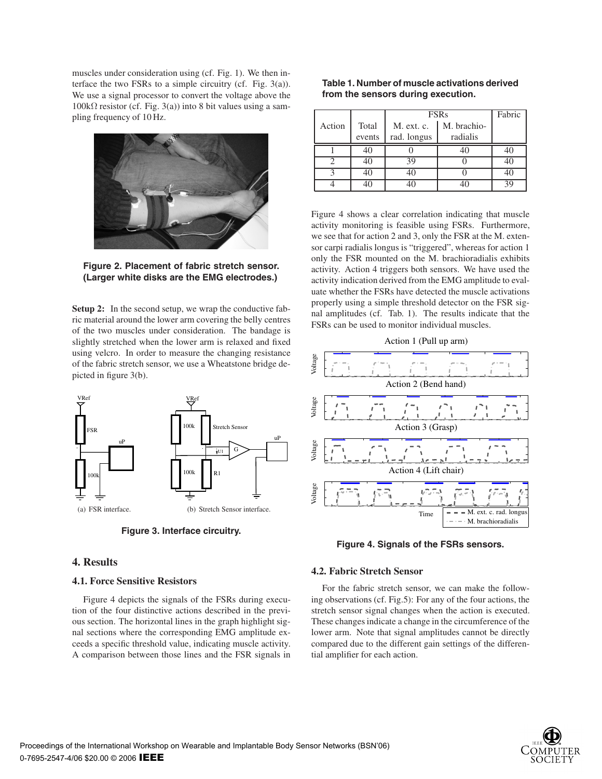muscles under consideration using (cf. Fig. 1). We then interface the two FSRs to a simple circuitry (cf. Fig. 3(a)). We use a signal processor to convert the voltage above the 100kΩ resistor (cf. Fig. 3(a)) into 8 bit values using a sampling frequency of 10 Hz.



**Figure 2. Placement of fabric stretch sensor. (Larger white disks are the EMG electrodes.)**

**Setup 2:** In the second setup, we wrap the conductive fabric material around the lower arm covering the belly centres of the two muscles under consideration. The bandage is slightly stretched when the lower arm is relaxed and fixed using velcro. In order to measure the changing resistance of the fabric stretch sensor, we use a Wheatstone bridge depicted in figure 3(b).



**Figure 3. Interface circuitry.**

# **4. Results**

#### **4.1. Force Sensitive Resistors**

Figure 4 depicts the signals of the FSRs during execution of the four distinctive actions described in the previous section. The horizontal lines in the graph highlight signal sections where the corresponding EMG amplitude exceeds a specific threshold value, indicating muscle activity. A comparison between those lines and the FSR signals in

| Table 1. Number of muscle activations derived |  |
|-----------------------------------------------|--|
| from the sensors during execution.            |  |

|          |        | <b>FSRs</b> |             | Fabric |
|----------|--------|-------------|-------------|--------|
| Action   | Total  | M. ext. c.  | M. brachio- |        |
|          | events | rad. longus | radialis    |        |
|          | 40     |             |             | 40     |
|          | 40     | 39          |             | 40     |
| <u>າ</u> | 4(     | 40          |             | 40     |
|          |        |             |             | 39     |

Figure 4 shows a clear correlation indicating that muscle activity monitoring is feasible using FSRs. Furthermore, we see that for action 2 and 3, only the FSR at the M. extensor carpi radialis longus is "triggered", whereas for action 1 only the FSR mounted on the M. brachioradialis exhibits activity. Action 4 triggers both sensors. We have used the activity indication derived from the EMG amplitude to evaluate whether the FSRs have detected the muscle activations properly using a simple threshold detector on the FSR signal amplitudes (cf. Tab. 1). The results indicate that the FSRs can be used to monitor individual muscles.





**Figure 4. Signals of the FSRs sensors.**

#### **4.2. Fabric Stretch Sensor**

For the fabric stretch sensor, we can make the following observations (cf. Fig.5): For any of the four actions, the stretch sensor signal changes when the action is executed. These changes indicate a change in the circumference of the lower arm. Note that signal amplitudes cannot be directly compared due to the different gain settings of the differential amplifier for each action.